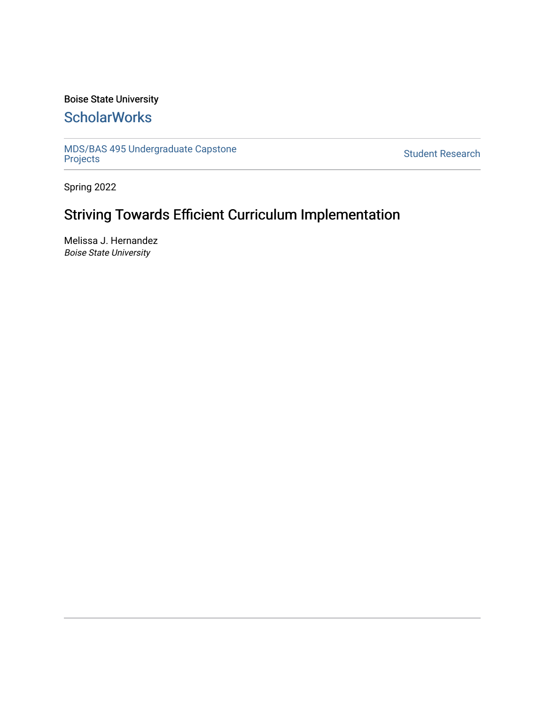### Boise State University

## **ScholarWorks**

[MDS/BAS 495 Undergraduate Capstone](https://scholarworks.boisestate.edu/mds495_proj)  [Projects](https://scholarworks.boisestate.edu/mds495_proj) [Student Research](https://scholarworks.boisestate.edu/student_research) 

Spring 2022

# Striving Towards Efficient Curriculum Implementation

Melissa J. Hernandez Boise State University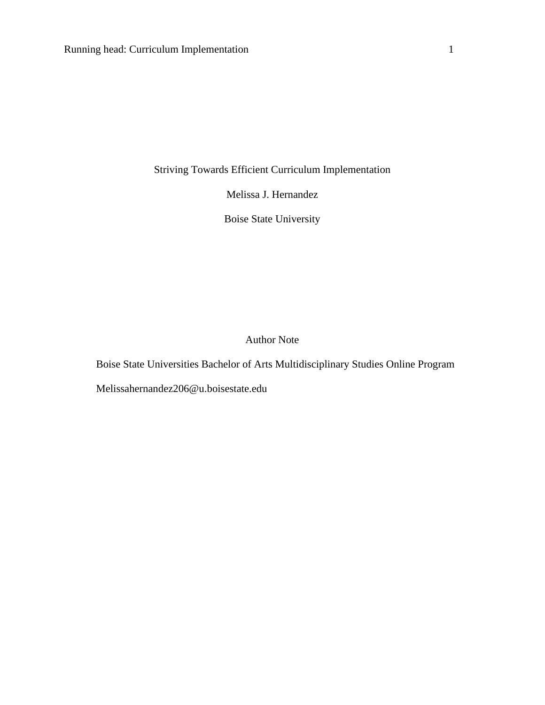Striving Towards Efficient Curriculum Implementation

Melissa J. Hernandez

Boise State University

Author Note

Boise State Universities Bachelor of Arts Multidisciplinary Studies Online Program

Melissahernandez206@u.boisestate.edu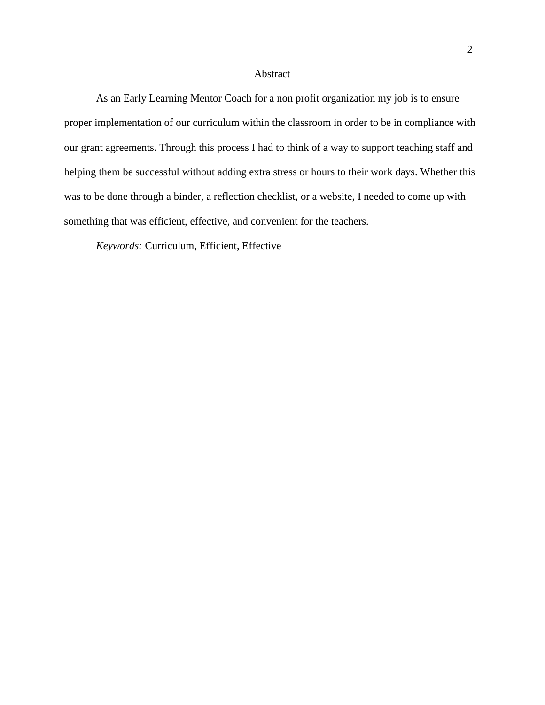#### Abstract

As an Early Learning Mentor Coach for a non profit organization my job is to ensure proper implementation of our curriculum within the classroom in order to be in compliance with our grant agreements. Through this process I had to think of a way to support teaching staff and helping them be successful without adding extra stress or hours to their work days. Whether this was to be done through a binder, a reflection checklist, or a website, I needed to come up with something that was efficient, effective, and convenient for the teachers.

*Keywords:* Curriculum, Efficient, Effective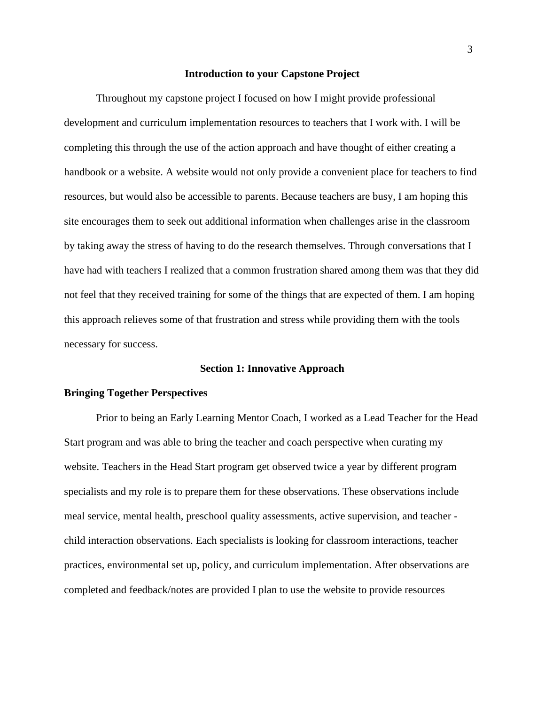#### **Introduction to your Capstone Project**

Throughout my capstone project I focused on how I might provide professional development and curriculum implementation resources to teachers that I work with. I will be completing this through the use of the action approach and have thought of either creating a handbook or a website. A website would not only provide a convenient place for teachers to find resources, but would also be accessible to parents. Because teachers are busy, I am hoping this site encourages them to seek out additional information when challenges arise in the classroom by taking away the stress of having to do the research themselves. Through conversations that I have had with teachers I realized that a common frustration shared among them was that they did not feel that they received training for some of the things that are expected of them. I am hoping this approach relieves some of that frustration and stress while providing them with the tools necessary for success.

#### **Section 1: Innovative Approach**

#### **Bringing Together Perspectives**

Prior to being an Early Learning Mentor Coach, I worked as a Lead Teacher for the Head Start program and was able to bring the teacher and coach perspective when curating my website. Teachers in the Head Start program get observed twice a year by different program specialists and my role is to prepare them for these observations. These observations include meal service, mental health, preschool quality assessments, active supervision, and teacher child interaction observations. Each specialists is looking for classroom interactions, teacher practices, environmental set up, policy, and curriculum implementation. After observations are completed and feedback/notes are provided I plan to use the website to provide resources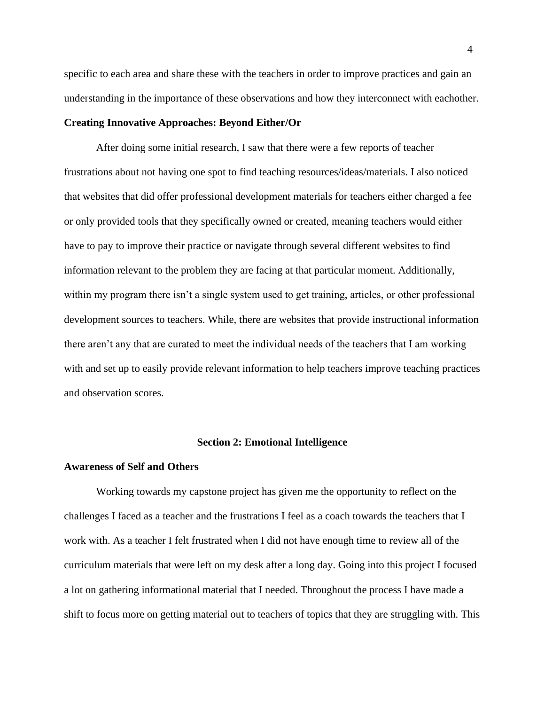specific to each area and share these with the teachers in order to improve practices and gain an understanding in the importance of these observations and how they interconnect with eachother.

#### **Creating Innovative Approaches: Beyond Either/Or**

After doing some initial research, I saw that there were a few reports of teacher frustrations about not having one spot to find teaching resources/ideas/materials. I also noticed that websites that did offer professional development materials for teachers either charged a fee or only provided tools that they specifically owned or created, meaning teachers would either have to pay to improve their practice or navigate through several different websites to find information relevant to the problem they are facing at that particular moment. Additionally, within my program there isn't a single system used to get training, articles, or other professional development sources to teachers. While, there are websites that provide instructional information there aren't any that are curated to meet the individual needs of the teachers that I am working with and set up to easily provide relevant information to help teachers improve teaching practices and observation scores.

#### **Section 2: Emotional Intelligence**

#### **Awareness of Self and Others**

Working towards my capstone project has given me the opportunity to reflect on the challenges I faced as a teacher and the frustrations I feel as a coach towards the teachers that I work with. As a teacher I felt frustrated when I did not have enough time to review all of the curriculum materials that were left on my desk after a long day. Going into this project I focused a lot on gathering informational material that I needed. Throughout the process I have made a shift to focus more on getting material out to teachers of topics that they are struggling with. This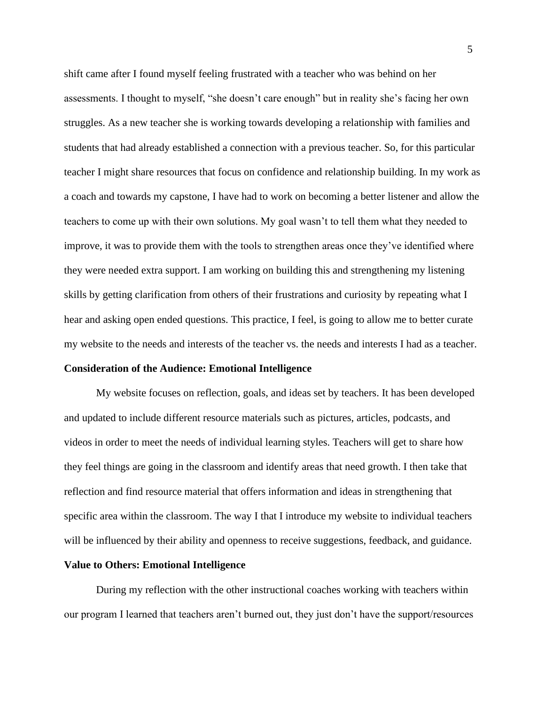shift came after I found myself feeling frustrated with a teacher who was behind on her assessments. I thought to myself, "she doesn't care enough" but in reality she's facing her own struggles. As a new teacher she is working towards developing a relationship with families and students that had already established a connection with a previous teacher. So, for this particular teacher I might share resources that focus on confidence and relationship building. In my work as a coach and towards my capstone, I have had to work on becoming a better listener and allow the teachers to come up with their own solutions. My goal wasn't to tell them what they needed to improve, it was to provide them with the tools to strengthen areas once they've identified where they were needed extra support. I am working on building this and strengthening my listening skills by getting clarification from others of their frustrations and curiosity by repeating what I hear and asking open ended questions. This practice, I feel, is going to allow me to better curate my website to the needs and interests of the teacher vs. the needs and interests I had as a teacher. **Consideration of the Audience: Emotional Intelligence**

My website focuses on reflection, goals, and ideas set by teachers. It has been developed and updated to include different resource materials such as pictures, articles, podcasts, and videos in order to meet the needs of individual learning styles. Teachers will get to share how they feel things are going in the classroom and identify areas that need growth. I then take that reflection and find resource material that offers information and ideas in strengthening that specific area within the classroom. The way I that I introduce my website to individual teachers will be influenced by their ability and openness to receive suggestions, feedback, and guidance.

#### **Value to Others: Emotional Intelligence**

During my reflection with the other instructional coaches working with teachers within our program I learned that teachers aren't burned out, they just don't have the support/resources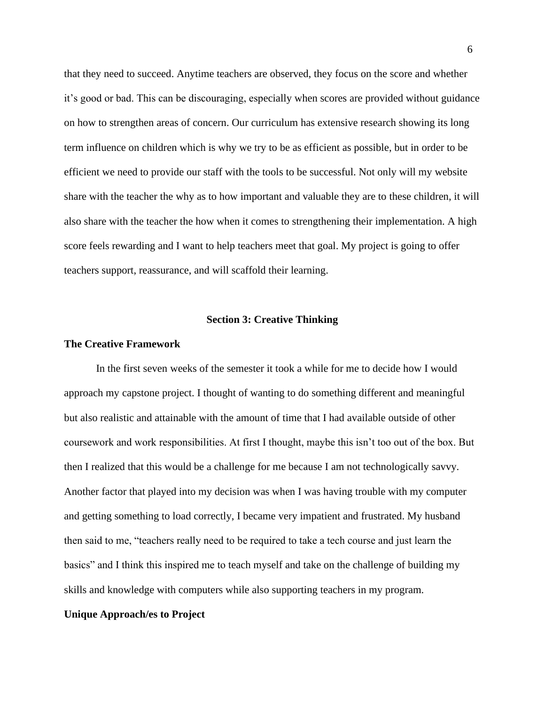that they need to succeed. Anytime teachers are observed, they focus on the score and whether it's good or bad. This can be discouraging, especially when scores are provided without guidance on how to strengthen areas of concern. Our curriculum has extensive research showing its long term influence on children which is why we try to be as efficient as possible, but in order to be efficient we need to provide our staff with the tools to be successful. Not only will my website share with the teacher the why as to how important and valuable they are to these children, it will also share with the teacher the how when it comes to strengthening their implementation. A high score feels rewarding and I want to help teachers meet that goal. My project is going to offer teachers support, reassurance, and will scaffold their learning.

#### **Section 3: Creative Thinking**

#### **The Creative Framework**

In the first seven weeks of the semester it took a while for me to decide how I would approach my capstone project. I thought of wanting to do something different and meaningful but also realistic and attainable with the amount of time that I had available outside of other coursework and work responsibilities. At first I thought, maybe this isn't too out of the box. But then I realized that this would be a challenge for me because I am not technologically savvy. Another factor that played into my decision was when I was having trouble with my computer and getting something to load correctly, I became very impatient and frustrated. My husband then said to me, "teachers really need to be required to take a tech course and just learn the basics" and I think this inspired me to teach myself and take on the challenge of building my skills and knowledge with computers while also supporting teachers in my program.

#### **Unique Approach/es to Project**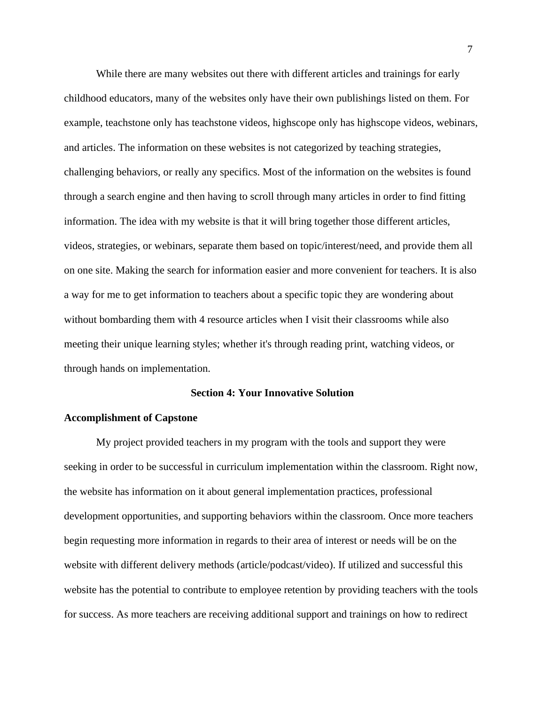While there are many websites out there with different articles and trainings for early childhood educators, many of the websites only have their own publishings listed on them. For example, teachstone only has teachstone videos, highscope only has highscope videos, webinars, and articles. The information on these websites is not categorized by teaching strategies, challenging behaviors, or really any specifics. Most of the information on the websites is found through a search engine and then having to scroll through many articles in order to find fitting information. The idea with my website is that it will bring together those different articles, videos, strategies, or webinars, separate them based on topic/interest/need, and provide them all on one site. Making the search for information easier and more convenient for teachers. It is also a way for me to get information to teachers about a specific topic they are wondering about without bombarding them with 4 resource articles when I visit their classrooms while also meeting their unique learning styles; whether it's through reading print, watching videos, or through hands on implementation.

#### **Section 4: Your Innovative Solution**

#### **Accomplishment of Capstone**

My project provided teachers in my program with the tools and support they were seeking in order to be successful in curriculum implementation within the classroom. Right now, the website has information on it about general implementation practices, professional development opportunities, and supporting behaviors within the classroom. Once more teachers begin requesting more information in regards to their area of interest or needs will be on the website with different delivery methods (article/podcast/video). If utilized and successful this website has the potential to contribute to employee retention by providing teachers with the tools for success. As more teachers are receiving additional support and trainings on how to redirect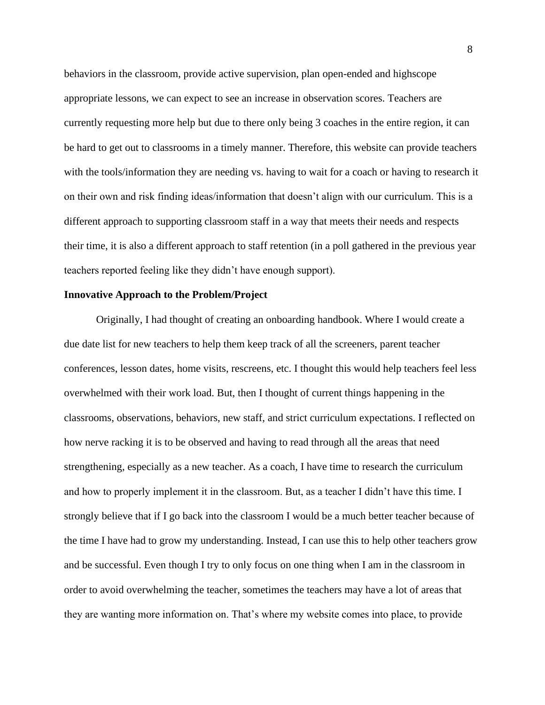behaviors in the classroom, provide active supervision, plan open-ended and highscope appropriate lessons, we can expect to see an increase in observation scores. Teachers are currently requesting more help but due to there only being 3 coaches in the entire region, it can be hard to get out to classrooms in a timely manner. Therefore, this website can provide teachers with the tools/information they are needing vs. having to wait for a coach or having to research it on their own and risk finding ideas/information that doesn't align with our curriculum. This is a different approach to supporting classroom staff in a way that meets their needs and respects their time, it is also a different approach to staff retention (in a poll gathered in the previous year teachers reported feeling like they didn't have enough support).

#### **Innovative Approach to the Problem/Project**

Originally, I had thought of creating an onboarding handbook. Where I would create a due date list for new teachers to help them keep track of all the screeners, parent teacher conferences, lesson dates, home visits, rescreens, etc. I thought this would help teachers feel less overwhelmed with their work load. But, then I thought of current things happening in the classrooms, observations, behaviors, new staff, and strict curriculum expectations. I reflected on how nerve racking it is to be observed and having to read through all the areas that need strengthening, especially as a new teacher. As a coach, I have time to research the curriculum and how to properly implement it in the classroom. But, as a teacher I didn't have this time. I strongly believe that if I go back into the classroom I would be a much better teacher because of the time I have had to grow my understanding. Instead, I can use this to help other teachers grow and be successful. Even though I try to only focus on one thing when I am in the classroom in order to avoid overwhelming the teacher, sometimes the teachers may have a lot of areas that they are wanting more information on. That's where my website comes into place, to provide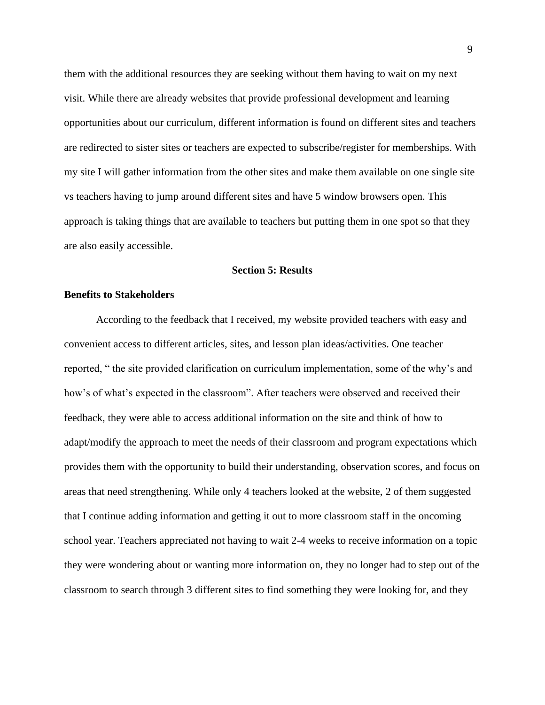them with the additional resources they are seeking without them having to wait on my next visit. While there are already websites that provide professional development and learning opportunities about our curriculum, different information is found on different sites and teachers are redirected to sister sites or teachers are expected to subscribe/register for memberships. With my site I will gather information from the other sites and make them available on one single site vs teachers having to jump around different sites and have 5 window browsers open. This approach is taking things that are available to teachers but putting them in one spot so that they are also easily accessible.

#### **Section 5: Results**

#### **Benefits to Stakeholders**

According to the feedback that I received, my website provided teachers with easy and convenient access to different articles, sites, and lesson plan ideas/activities. One teacher reported, " the site provided clarification on curriculum implementation, some of the why's and how's of what's expected in the classroom". After teachers were observed and received their feedback, they were able to access additional information on the site and think of how to adapt/modify the approach to meet the needs of their classroom and program expectations which provides them with the opportunity to build their understanding, observation scores, and focus on areas that need strengthening. While only 4 teachers looked at the website, 2 of them suggested that I continue adding information and getting it out to more classroom staff in the oncoming school year. Teachers appreciated not having to wait 2-4 weeks to receive information on a topic they were wondering about or wanting more information on, they no longer had to step out of the classroom to search through 3 different sites to find something they were looking for, and they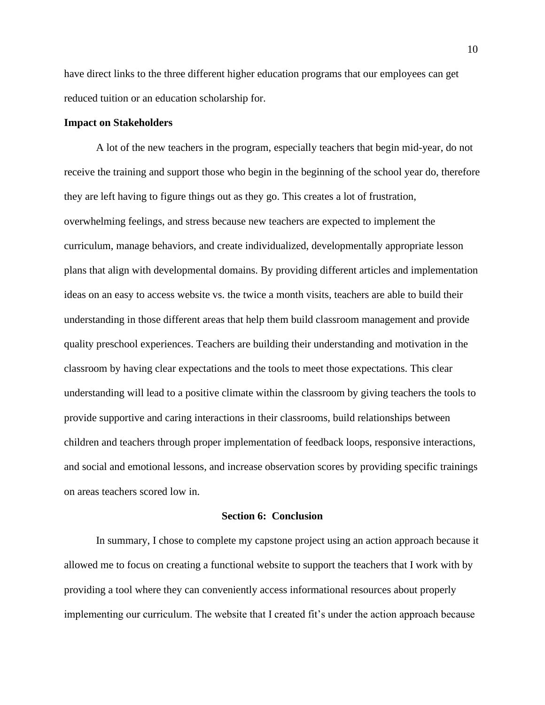have direct links to the three different higher education programs that our employees can get reduced tuition or an education scholarship for.

#### **Impact on Stakeholders**

A lot of the new teachers in the program, especially teachers that begin mid-year, do not receive the training and support those who begin in the beginning of the school year do, therefore they are left having to figure things out as they go. This creates a lot of frustration, overwhelming feelings, and stress because new teachers are expected to implement the curriculum, manage behaviors, and create individualized, developmentally appropriate lesson plans that align with developmental domains. By providing different articles and implementation ideas on an easy to access website vs. the twice a month visits, teachers are able to build their understanding in those different areas that help them build classroom management and provide quality preschool experiences. Teachers are building their understanding and motivation in the classroom by having clear expectations and the tools to meet those expectations. This clear understanding will lead to a positive climate within the classroom by giving teachers the tools to provide supportive and caring interactions in their classrooms, build relationships between children and teachers through proper implementation of feedback loops, responsive interactions, and social and emotional lessons, and increase observation scores by providing specific trainings on areas teachers scored low in.

#### **Section 6: Conclusion**

In summary, I chose to complete my capstone project using an action approach because it allowed me to focus on creating a functional website to support the teachers that I work with by providing a tool where they can conveniently access informational resources about properly implementing our curriculum. The website that I created fit's under the action approach because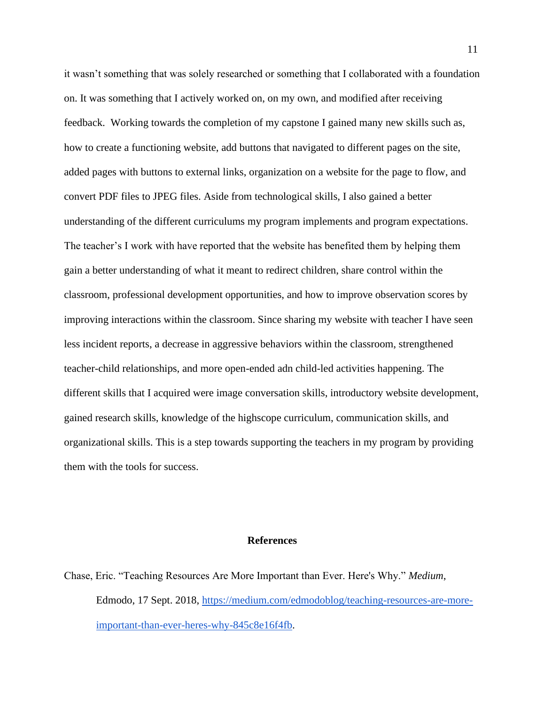it wasn't something that was solely researched or something that I collaborated with a foundation on. It was something that I actively worked on, on my own, and modified after receiving feedback. Working towards the completion of my capstone I gained many new skills such as, how to create a functioning website, add buttons that navigated to different pages on the site, added pages with buttons to external links, organization on a website for the page to flow, and convert PDF files to JPEG files. Aside from technological skills, I also gained a better understanding of the different curriculums my program implements and program expectations. The teacher's I work with have reported that the website has benefited them by helping them gain a better understanding of what it meant to redirect children, share control within the classroom, professional development opportunities, and how to improve observation scores by improving interactions within the classroom. Since sharing my website with teacher I have seen less incident reports, a decrease in aggressive behaviors within the classroom, strengthened teacher-child relationships, and more open-ended adn child-led activities happening. The different skills that I acquired were image conversation skills, introductory website development, gained research skills, knowledge of the highscope curriculum, communication skills, and organizational skills. This is a step towards supporting the teachers in my program by providing them with the tools for success.

#### **References**

Chase, Eric. "Teaching Resources Are More Important than Ever. Here's Why." *Medium*, Edmodo, 17 Sept. 2018, [https://medium.com/edmodoblog/teaching-resources-are-more](https://medium.com/edmodoblog/teaching-resources-are-more-important-than-ever-heres-why-845c8e16f4fb)[important-than-ever-heres-why-845c8e16f4fb.](https://medium.com/edmodoblog/teaching-resources-are-more-important-than-ever-heres-why-845c8e16f4fb)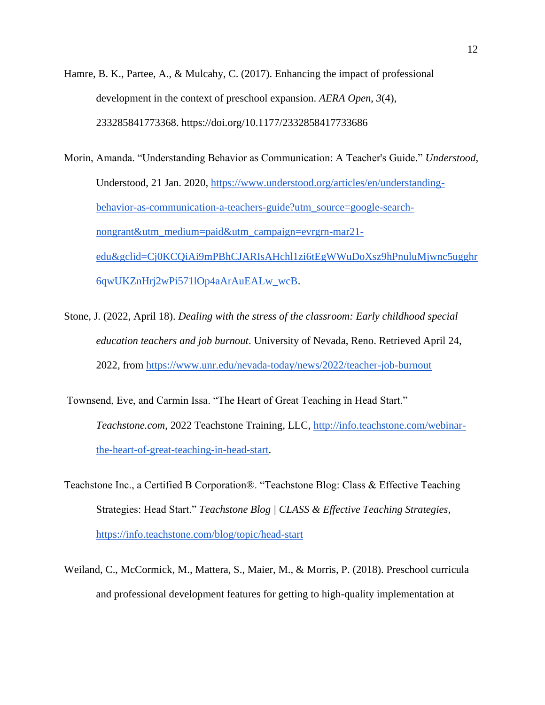Hamre, B. K., Partee, A., & Mulcahy, C. (2017). Enhancing the impact of professional development in the context of preschool expansion. *AERA Open*, *3*(4), 233285841773368. https://doi.org/10.1177/2332858417733686

Morin, Amanda. "Understanding Behavior as Communication: A Teacher's Guide." *Understood*, Understood, 21 Jan. 2020, [https://www.understood.org/articles/en/understanding](https://www.understood.org/articles/en/understanding-behavior-as-communication-a-teachers-guide?utm_source=google-search-nongrant&utm_medium=paid&utm_campaign=evrgrn-mar21-edu&gclid=Cj0KCQiAi9mPBhCJARIsAHchl1zi6tEgWWuDoXsz9hPnuluMjwnc5ugghr6qwUKZnHrj2wPi571lOp4aArAuEALw_wcB)[behavior-as-communication-a-teachers-guide?utm\\_source=google-search](https://www.understood.org/articles/en/understanding-behavior-as-communication-a-teachers-guide?utm_source=google-search-nongrant&utm_medium=paid&utm_campaign=evrgrn-mar21-edu&gclid=Cj0KCQiAi9mPBhCJARIsAHchl1zi6tEgWWuDoXsz9hPnuluMjwnc5ugghr6qwUKZnHrj2wPi571lOp4aArAuEALw_wcB)[nongrant&utm\\_medium=paid&utm\\_campaign=evrgrn-mar21](https://www.understood.org/articles/en/understanding-behavior-as-communication-a-teachers-guide?utm_source=google-search-nongrant&utm_medium=paid&utm_campaign=evrgrn-mar21-edu&gclid=Cj0KCQiAi9mPBhCJARIsAHchl1zi6tEgWWuDoXsz9hPnuluMjwnc5ugghr6qwUKZnHrj2wPi571lOp4aArAuEALw_wcB) [edu&gclid=Cj0KCQiAi9mPBhCJARIsAHchl1zi6tEgWWuDoXsz9hPnuluMjwnc5ugghr](https://www.understood.org/articles/en/understanding-behavior-as-communication-a-teachers-guide?utm_source=google-search-nongrant&utm_medium=paid&utm_campaign=evrgrn-mar21-edu&gclid=Cj0KCQiAi9mPBhCJARIsAHchl1zi6tEgWWuDoXsz9hPnuluMjwnc5ugghr6qwUKZnHrj2wPi571lOp4aArAuEALw_wcB) [6qwUKZnHrj2wPi571lOp4aArAuEALw\\_wcB.](https://www.understood.org/articles/en/understanding-behavior-as-communication-a-teachers-guide?utm_source=google-search-nongrant&utm_medium=paid&utm_campaign=evrgrn-mar21-edu&gclid=Cj0KCQiAi9mPBhCJARIsAHchl1zi6tEgWWuDoXsz9hPnuluMjwnc5ugghr6qwUKZnHrj2wPi571lOp4aArAuEALw_wcB)

- Stone, J. (2022, April 18). *Dealing with the stress of the classroom: Early childhood special education teachers and job burnout*. University of Nevada, Reno. Retrieved April 24, 2022, from<https://www.unr.edu/nevada-today/news/2022/teacher-job-burnout>
- Townsend, Eve, and Carmin Issa. "The Heart of Great Teaching in Head Start." *Teachstone.com*, 2022 Teachstone Training, LLC, [http://info.teachstone.com/webinar](http://info.teachstone.com/webinar-the-heart-of-great-teaching-in-head-start)[the-heart-of-great-teaching-in-head-start.](http://info.teachstone.com/webinar-the-heart-of-great-teaching-in-head-start)
- Teachstone Inc., a Certified B Corporation®. "Teachstone Blog: Class & Effective Teaching Strategies: Head Start." *Teachstone Blog | CLASS & Effective Teaching Strategies*, <https://info.teachstone.com/blog/topic/head-start>
- Weiland, C., McCormick, M., Mattera, S., Maier, M., & Morris, P. (2018). Preschool curricula and professional development features for getting to high-quality implementation at